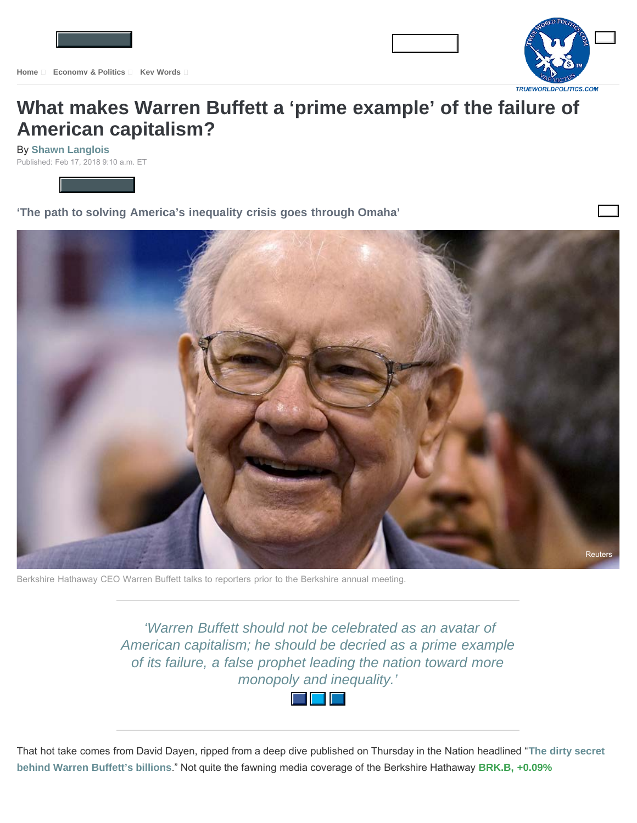

## **[What makes Warren Buffett a 'prime example' of the failure of](https://www.marketwatch.com/story/why-warren-buffett-is-a-prime-example-of-the-failure-of-american-capitalism-2018-02-15?mod=MW_story_top_stories) American capitalism?**

By **[Shawn Langlois](https://www.marketwatch.com/topics/journalists/shawn-langlois)** Published: Feb 17, 2018 9:10 a.m. ET



**'The path to solving America's inequality crisis goes through Omaha'**



Berkshire Hathaway CEO Warren Buffett talks to reporters prior to the Berkshire annual meeting.

 *'Warren Buffett should not be celebrated as an avatar of American capitalism; he should be decried as a prime example of its failure, a false prophet leading the nation toward more monopoly and inequality.'*



That hot take comes from David Dayen, ripped from a deep dive published on Thursday in the Nation headlined "**[The dirty secret](https://www.thenation.com/article/special-investigation-the-dirty-secret-behind-warren-buffetts-billions/) [behind Warren Buffett's billions](https://www.thenation.com/article/special-investigation-the-dirty-secret-behind-warren-buffetts-billions/)**." Not quite the fawning media coverage of the Berkshire Hathaway **[BRK.B, +0.09%](https://www.marketwatch.com/investing/stock/brk.b?mod=MW_story_quote)**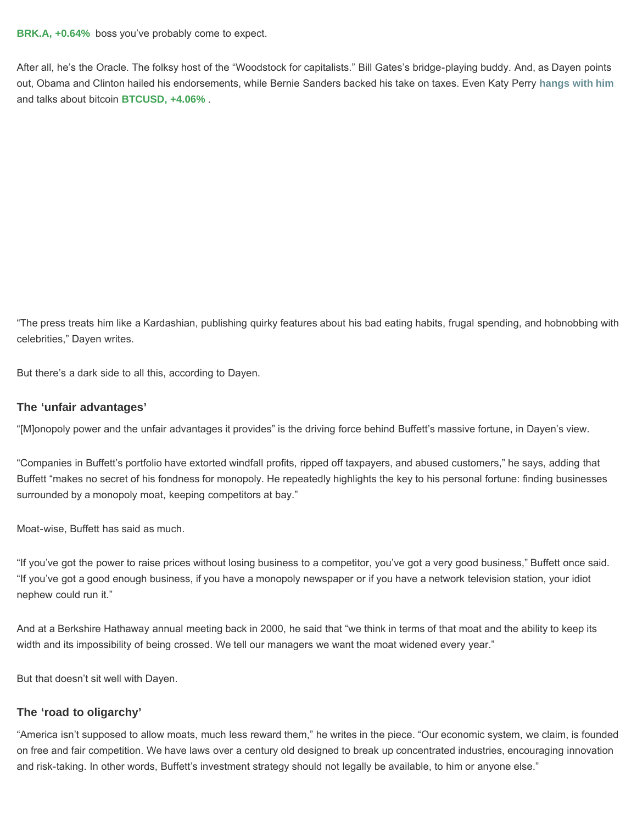**[BRK.A, +0.64%](https://www.marketwatch.com/investing/stock/brk.a?mod=MW_story_quote)** boss you've probably come to expect.

After all, he's the Oracle. The folksy host of the "Woodstock for capitalists." Bill Gates's bridge-playing buddy. And, as Dayen points out, Obama and Clinton hailed his endorsements, while Bernie Sanders backed his take on taxes. Even Katy Perry **[hangs with him](https://www.marketwatch.com/story/warning-to-bitcoin-fans-katy-perry-just-asked-warren-buffett-about-cryptos-2017-11-29)** and talks about bitcoin **[BTCUSD, +4.06%](https://www.marketwatch.com/investing/stock/btcusd?mod=MW_story_quote)** .

"The press treats him like a Kardashian, publishing quirky features about his bad eating habits, frugal spending, and hobnobbing with celebrities," Dayen writes.

But there's a dark side to all this, according to Dayen.

## **The 'unfair advantages'**

"[M]onopoly power and the unfair advantages it provides" is the driving force behind Buffett's massive fortune, in Dayen's view.

"Companies in Buffett's portfolio have extorted windfall profits, ripped off taxpayers, and abused customers," he says, adding that Buffett "makes no secret of his fondness for monopoly. He repeatedly highlights the key to his personal fortune: finding businesses surrounded by a monopoly moat, keeping competitors at bay."

Moat-wise, Buffett has said as much.

"If you've got the power to raise prices without losing business to a competitor, you've got a very good business," Buffett once said. "If you've got a good enough business, if you have a monopoly newspaper or if you have a network television station, your idiot nephew could run it."

And at a Berkshire Hathaway annual meeting back in 2000, he said that "we think in terms of that moat and the ability to keep its width and its impossibility of being crossed. We tell our managers we want the moat widened every year."

But that doesn't sit well with Dayen.

## **The 'road to oligarchy'**

"America isn't supposed to allow moats, much less reward them," he writes in the piece. "Our economic system, we claim, is founded on free and fair competition. We have laws over a century old designed to break up concentrated industries, encouraging innovation and risk-taking. In other words, Buffett's investment strategy should not legally be available, to him or anyone else."